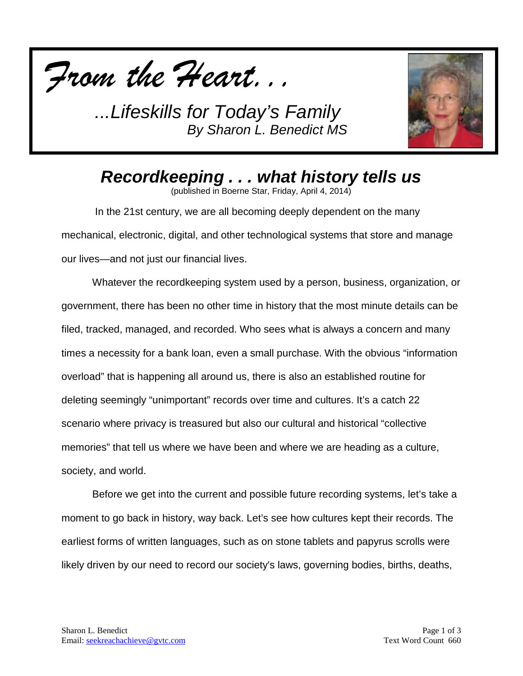



*Recordkeeping . . . what history tells us*

(published in Boerne Star, Friday, April 4, 2014)

In the 21st century, we are all becoming deeply dependent on the many mechanical, electronic, digital, and other technological systems that store and manage our lives—and not just our financial lives.

Whatever the recordkeeping system used by a person, business, organization, or government, there has been no other time in history that the most minute details can be filed, tracked, managed, and recorded. Who sees what is always a concern and many times a necessity for a bank loan, even a small purchase. With the obvious "information overload" that is happening all around us, there is also an established routine for deleting seemingly "unimportant" records over time and cultures. It's a catch 22 scenario where privacy is treasured but also our cultural and historical "collective memories" that tell us where we have been and where we are heading as a culture, society, and world.

Before we get into the current and possible future recording systems, let's take a moment to go back in history, way back. Let's see how cultures kept their records. The earliest forms of written languages, such as on stone tablets and papyrus scrolls were likely driven by our need to record our society's laws, governing bodies, births, deaths,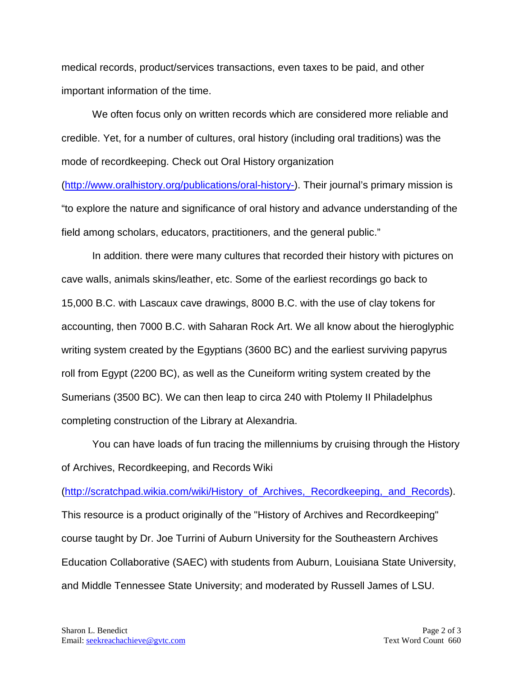medical records, product/services transactions, even taxes to be paid, and other important information of the time.

We often focus only on written records which are considered more reliable and credible. Yet, for a number of cultures, oral history (including oral traditions) was the mode of recordkeeping. Check out Oral History organization

[\(http://www.oralhistory.org/publications/oral-history-\)](http://www.oralhistory.org/publications/oral-history-). Their journal's primary mission is "to explore the nature and significance of oral history and advance understanding of the field among scholars, educators, practitioners, and the general public."

In addition. there were many cultures that recorded their history with pictures on cave walls, animals skins/leather, etc. Some of the earliest recordings go back to 15,000 B.C. with Lascaux cave drawings, 8000 B.C. with the use of clay tokens for accounting, then 7000 B.C. with Saharan Rock Art. We all know about the hieroglyphic writing system created by the Egyptians (3600 BC) and the earliest surviving papyrus roll from Egypt (2200 BC), as well as the Cuneiform writing system created by the Sumerians (3500 BC). We can then leap to circa 240 with Ptolemy II Philadelphus completing construction of the Library at Alexandria.

You can have loads of fun tracing the millenniums by cruising through the History of Archives, Recordkeeping, and Records Wiki

[\(http://scratchpad.wikia.com/wiki/History\\_of\\_Archives,\\_Recordkeeping,\\_and\\_Records\)](http://scratchpad.wikia.com/wiki/History_of_Archives,_Recordkeeping,_and_Records). This resource is a product originally of the "History of Archives and Recordkeeping" course taught by Dr. Joe Turrini of Auburn University for the Southeastern Archives Education Collaborative (SAEC) with students from Auburn, Louisiana State University, and Middle Tennessee State University; and moderated by Russell James of LSU.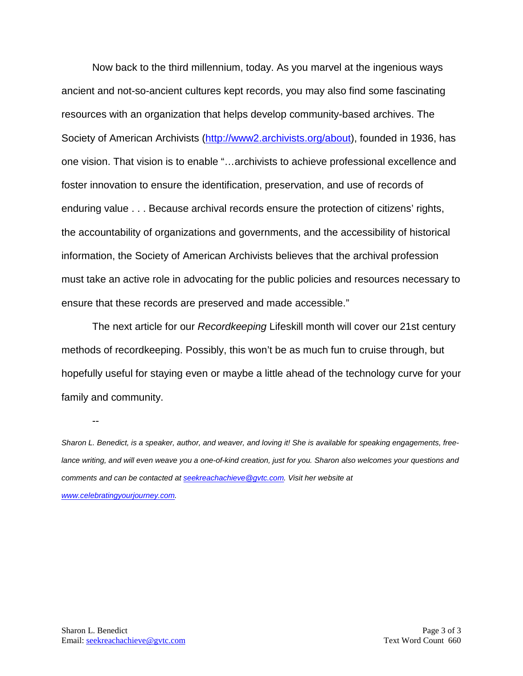Now back to the third millennium, today. As you marvel at the ingenious ways ancient and not-so-ancient cultures kept records, you may also find some fascinating resources with an organization that helps develop community-based archives. The Society of American Archivists [\(http://www2.archivists.org/about\)](http://www2.archivists.org/about), founded in 1936, has one vision. That vision is to enable "…archivists to achieve professional excellence and foster innovation to ensure the identification, preservation, and use of records of enduring value . . . Because archival records ensure the protection of citizens' rights, the accountability of organizations and governments, and the accessibility of historical information, the Society of American Archivists believes that the archival profession must take an active role in advocating for the public policies and resources necessary to ensure that these records are preserved and made accessible."

The next article for our *Recordkeeping* Lifeskill month will cover our 21st century methods of recordkeeping. Possibly, this won't be as much fun to cruise through, but hopefully useful for staying even or maybe a little ahead of the technology curve for your family and community.

*Sharon L. Benedict, is a speaker, author, and weaver, and loving it! She is available for speaking engagements, freelance writing, and will even weave you a one-of-kind creation, just for you. Sharon also welcomes your questions and comments and can be contacted a[t seekreachachieve@gvtc.com.](mailto:seekreachachieve@gvtc.com) Visit her website at [www.celebratingyourjourney.com.](http://www.celebratingyourjourney.com/)*

--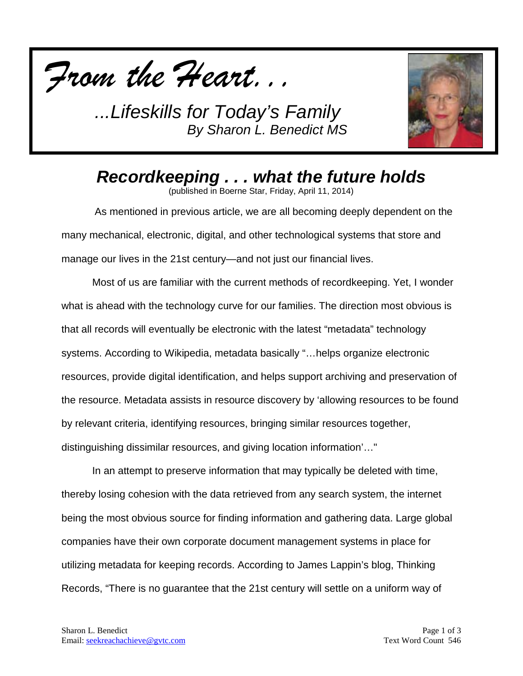



*Recordkeeping . . . what the future holds*

(published in Boerne Star, Friday, April 11, 2014)

As mentioned in previous article, we are all becoming deeply dependent on the many mechanical, electronic, digital, and other technological systems that store and manage our lives in the 21st century—and not just our financial lives.

Most of us are familiar with the current methods of recordkeeping. Yet, I wonder what is ahead with the technology curve for our families. The direction most obvious is that all records will eventually be electronic with the latest "metadata" technology systems. According to Wikipedia, metadata basically "…helps organize electronic resources, provide digital identification, and helps support archiving and preservation of the resource. Metadata assists in resource discovery by 'allowing resources to be found by relevant criteria, identifying resources, bringing similar resources together, distinguishing dissimilar resources, and giving location information'…"

In an attempt to preserve information that may typically be deleted with time, thereby losing cohesion with the data retrieved from any search system, the internet being the most obvious source for finding information and gathering data. Large global companies have their own corporate document management systems in place for utilizing metadata for keeping records. According to James Lappin's blog, Thinking Records, "There is no guarantee that the 21st century will settle on a uniform way of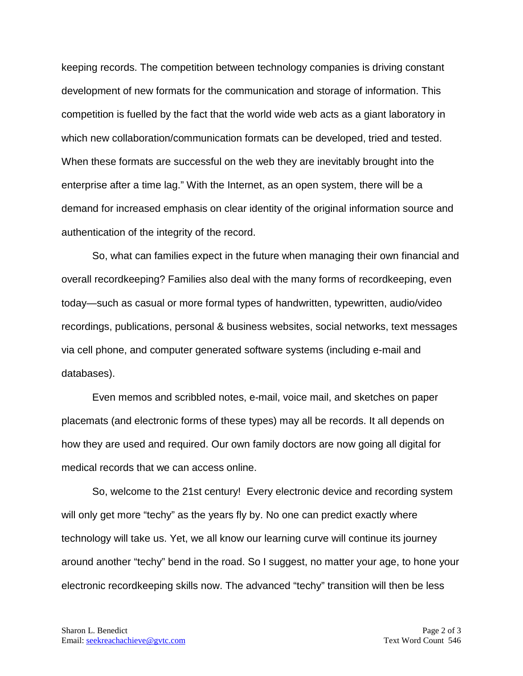keeping records. The competition between technology companies is driving constant development of new formats for the communication and storage of information. This competition is fuelled by the fact that the world wide web acts as a giant laboratory in which new collaboration/communication formats can be developed, tried and tested. When these formats are successful on the web they are inevitably brought into the enterprise after a time lag." With the Internet, as an open system, there will be a demand for increased emphasis on clear identity of the original information source and authentication of the integrity of the record.

So, what can families expect in the future when managing their own financial and overall recordkeeping? Families also deal with the many forms of recordkeeping, even today—such as casual or more formal types of handwritten, typewritten, audio/video recordings, publications, personal & business websites, social networks, text messages via cell phone, and computer generated software systems (including e-mail and databases).

Even memos and scribbled notes, e-mail, voice mail, and sketches on paper placemats (and electronic forms of these types) may all be records. It all depends on how they are used and required. Our own family doctors are now going all digital for medical records that we can access online.

So, welcome to the 21st century! Every electronic device and recording system will only get more "techy" as the years fly by. No one can predict exactly where technology will take us. Yet, we all know our learning curve will continue its journey around another "techy" bend in the road. So I suggest, no matter your age, to hone your electronic recordkeeping skills now. The advanced "techy" transition will then be less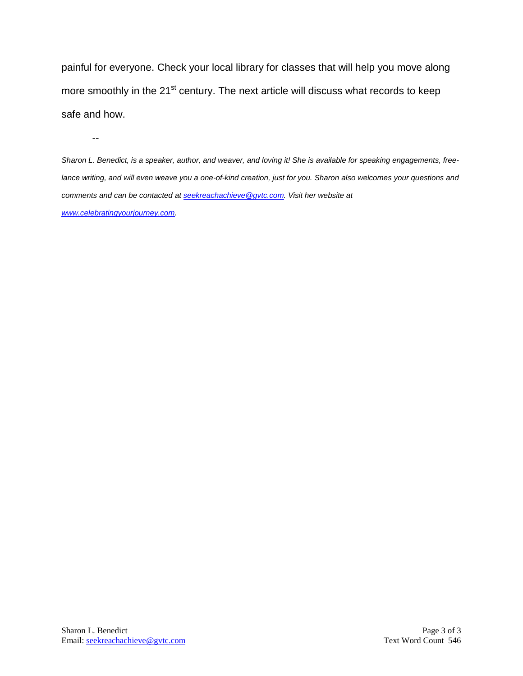painful for everyone. Check your local library for classes that will help you move along more smoothly in the 21<sup>st</sup> century. The next article will discuss what records to keep safe and how.

--

*Sharon L. Benedict, is a speaker, author, and weaver, and loving it! She is available for speaking engagements, freelance writing, and will even weave you a one-of-kind creation, just for you. Sharon also welcomes your questions and comments and can be contacted a[t seekreachachieve@gvtc.com.](mailto:seekreachachieve@gvtc.com) Visit her website at [www.celebratingyourjourney.com.](http://www.celebratingyourjourney.com/)*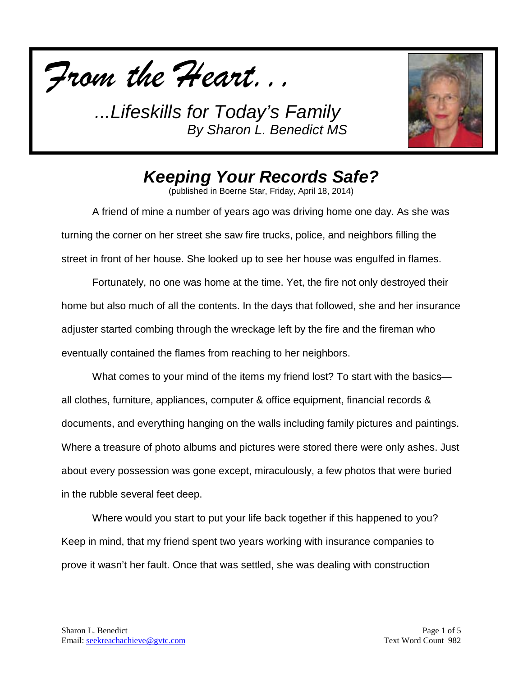



## *Keeping Your Records Safe?*

(published in Boerne Star, Friday, April 18, 2014)

A friend of mine a number of years ago was driving home one day. As she was turning the corner on her street she saw fire trucks, police, and neighbors filling the street in front of her house. She looked up to see her house was engulfed in flames.

Fortunately, no one was home at the time. Yet, the fire not only destroyed their home but also much of all the contents. In the days that followed, she and her insurance adjuster started combing through the wreckage left by the fire and the fireman who eventually contained the flames from reaching to her neighbors.

What comes to your mind of the items my friend lost? To start with the basics all clothes, furniture, appliances, computer & office equipment, financial records & documents, and everything hanging on the walls including family pictures and paintings. Where a treasure of photo albums and pictures were stored there were only ashes. Just about every possession was gone except, miraculously, a few photos that were buried in the rubble several feet deep.

Where would you start to put your life back together if this happened to you? Keep in mind, that my friend spent two years working with insurance companies to prove it wasn't her fault. Once that was settled, she was dealing with construction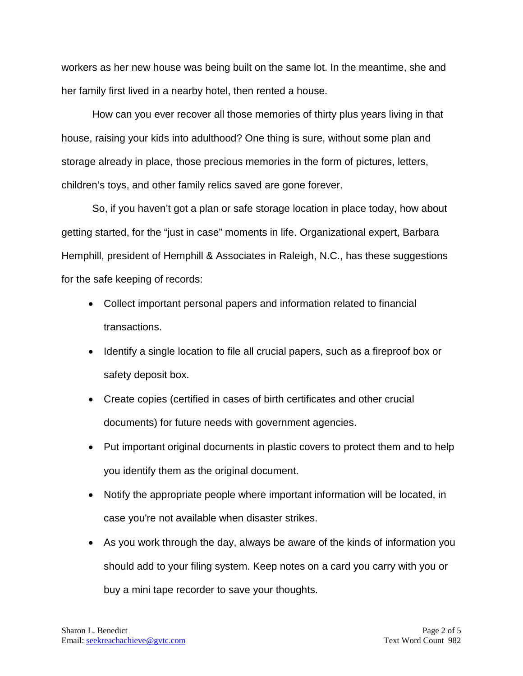workers as her new house was being built on the same lot. In the meantime, she and her family first lived in a nearby hotel, then rented a house.

How can you ever recover all those memories of thirty plus years living in that house, raising your kids into adulthood? One thing is sure, without some plan and storage already in place, those precious memories in the form of pictures, letters, children's toys, and other family relics saved are gone forever.

So, if you haven't got a plan or safe storage location in place today, how about getting started, for the "just in case" moments in life. Organizational expert, Barbara Hemphill, president of Hemphill & Associates in Raleigh, N.C., has these suggestions for the safe keeping of records:

- Collect important personal papers and information related to financial transactions.
- Identify a single location to file all crucial papers, such as a fireproof box or safety deposit box.
- Create copies (certified in cases of birth certificates and other crucial documents) for future needs with government agencies.
- Put important original documents in plastic covers to protect them and to help you identify them as the original document.
- Notify the appropriate people where important information will be located, in case you're not available when disaster strikes.
- As you work through the day, always be aware of the kinds of information you should add to your filing system. Keep notes on a card you carry with you or buy a mini tape recorder to save your thoughts.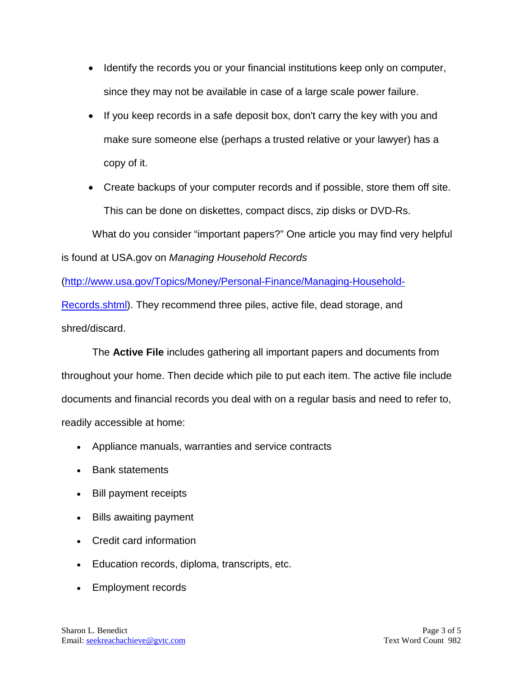- Identify the records you or your financial institutions keep only on computer, since they may not be available in case of a large scale power failure.
- If you keep records in a safe deposit box, don't carry the key with you and make sure someone else (perhaps a trusted relative or your lawyer) has a copy of it.
- Create backups of your computer records and if possible, store them off site. This can be done on diskettes, compact discs, zip disks or DVD-Rs.

What do you consider "important papers?" One article you may find very helpful is found at USA.gov on *Managing Household Records* 

[\(http://www.usa.gov/Topics/Money/Personal-Finance/Managing-Household-](http://www.usa.gov/Topics/Money/Personal-Finance/Managing-Household-Records.shtml)[Records.shtml\)](http://www.usa.gov/Topics/Money/Personal-Finance/Managing-Household-Records.shtml). They recommend three piles, active file, dead storage, and

shred/discard.

The **Active File** includes gathering all important papers and documents from throughout your home. Then decide which pile to put each item. The active file include documents and financial records you deal with on a regular basis and need to refer to, readily accessible at home:

- Appliance manuals, warranties and service contracts
- Bank statements
- Bill payment receipts
- Bills awaiting payment
- Credit card information
- Education records, diploma, transcripts, etc.
- Employment records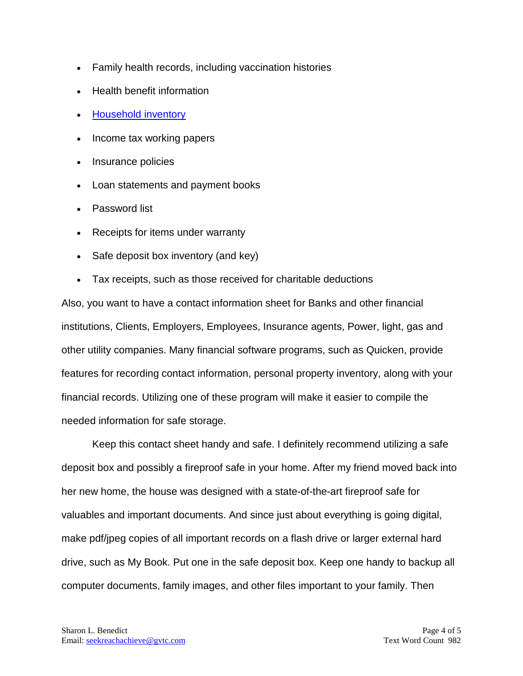- Family health records, including vaccination histories
- Health benefit information
- [Household inventory](http://publications.usa.gov/USAPubs.php?PubID=3383)
- Income tax working papers
- Insurance policies
- Loan statements and payment books
- Password list
- Receipts for items under warranty
- Safe deposit box inventory (and key)
- Tax receipts, such as those received for charitable deductions

Also, you want to have a contact information sheet for Banks and other financial institutions, Clients, Employers, Employees, Insurance agents, Power, light, gas and other utility companies. Many financial software programs, such as Quicken, provide features for recording contact information, personal property inventory, along with your financial records. Utilizing one of these program will make it easier to compile the needed information for safe storage.

Keep this contact sheet handy and safe. I definitely recommend utilizing a safe deposit box and possibly a fireproof safe in your home. After my friend moved back into her new home, the house was designed with a state-of-the-art fireproof safe for valuables and important documents. And since just about everything is going digital, make pdf/jpeg copies of all important records on a flash drive or larger external hard drive, such as My Book. Put one in the safe deposit box. Keep one handy to backup all computer documents, family images, and other files important to your family. Then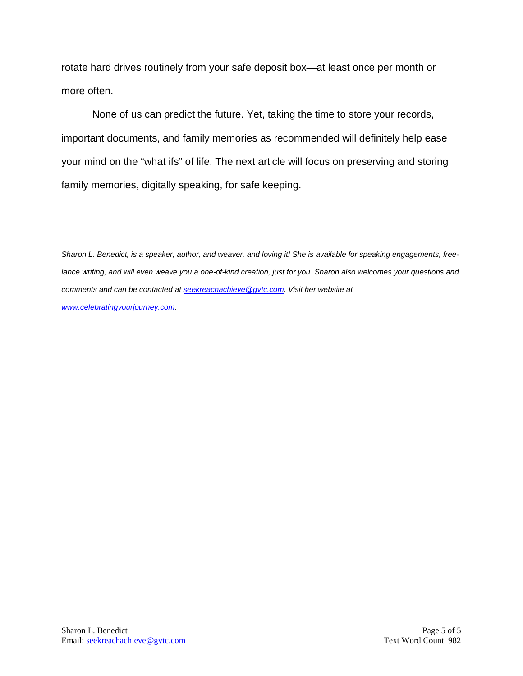rotate hard drives routinely from your safe deposit box—at least once per month or more often.

None of us can predict the future. Yet, taking the time to store your records, important documents, and family memories as recommended will definitely help ease your mind on the "what ifs" of life. The next article will focus on preserving and storing family memories, digitally speaking, for safe keeping.

--

*Sharon L. Benedict, is a speaker, author, and weaver, and loving it! She is available for speaking engagements, freelance writing, and will even weave you a one-of-kind creation, just for you. Sharon also welcomes your questions and comments and can be contacted a[t seekreachachieve@gvtc.com.](mailto:seekreachachieve@gvtc.com) Visit her website at [www.celebratingyourjourney.com.](http://www.celebratingyourjourney.com/)*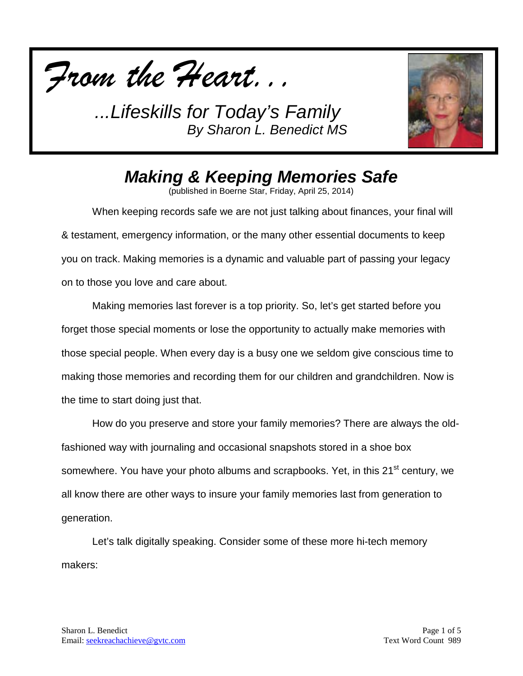



## *Making & Keeping Memories Safe*

(published in Boerne Star, Friday, April 25, 2014)

When keeping records safe we are not just talking about finances, your final will & testament, emergency information, or the many other essential documents to keep you on track. Making memories is a dynamic and valuable part of passing your legacy on to those you love and care about.

Making memories last forever is a top priority. So, let's get started before you forget those special moments or lose the opportunity to actually make memories with those special people. When every day is a busy one we seldom give conscious time to making those memories and recording them for our children and grandchildren. Now is the time to start doing just that.

How do you preserve and store your family memories? There are always the oldfashioned way with journaling and occasional snapshots stored in a shoe box somewhere. You have your photo albums and scrapbooks. Yet, in this 21<sup>st</sup> century, we all know there are other ways to insure your family memories last from generation to generation.

Let's talk digitally speaking. Consider some of these more hi-tech memory makers: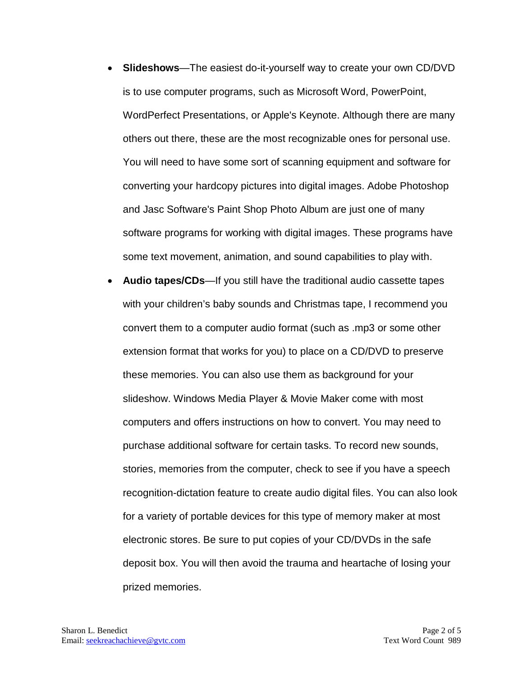- **Slideshows**—The easiest do-it-yourself way to create your own CD/DVD is to use computer programs, such as Microsoft Word, PowerPoint, WordPerfect Presentations, or Apple's Keynote. Although there are many others out there, these are the most recognizable ones for personal use. You will need to have some sort of scanning equipment and software for converting your hardcopy pictures into digital images. Adobe Photoshop and Jasc Software's Paint Shop Photo Album are just one of many software programs for working with digital images. These programs have some text movement, animation, and sound capabilities to play with.
- **Audio tapes/CDs**—If you still have the traditional audio cassette tapes with your children's baby sounds and Christmas tape, I recommend you convert them to a computer audio format (such as .mp3 or some other extension format that works for you) to place on a CD/DVD to preserve these memories. You can also use them as background for your slideshow. Windows Media Player & Movie Maker come with most computers and offers instructions on how to convert. You may need to purchase additional software for certain tasks. To record new sounds, stories, memories from the computer, check to see if you have a speech recognition-dictation feature to create audio digital files. You can also look for a variety of portable devices for this type of memory maker at most electronic stores. Be sure to put copies of your CD/DVDs in the safe deposit box. You will then avoid the trauma and heartache of losing your prized memories.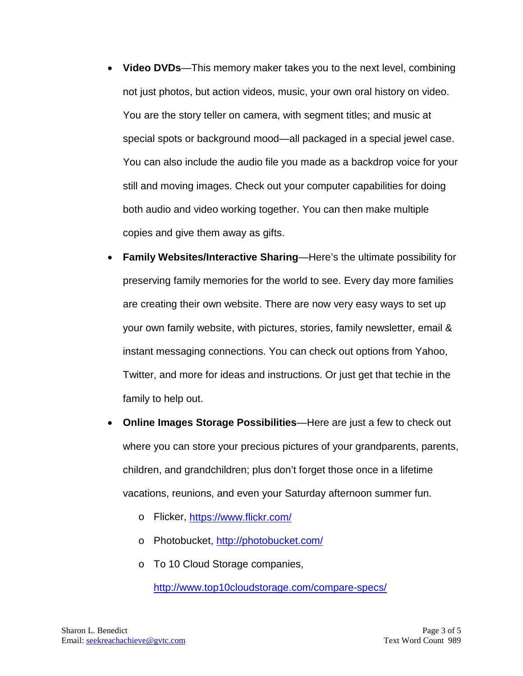- **Video DVDs**—This memory maker takes you to the next level, combining not just photos, but action videos, music, your own oral history on video. You are the story teller on camera, with segment titles; and music at special spots or background mood—all packaged in a special jewel case. You can also include the audio file you made as a backdrop voice for your still and moving images. Check out your computer capabilities for doing both audio and video working together. You can then make multiple copies and give them away as gifts.
- **Family Websites/Interactive Sharing**—Here's the ultimate possibility for preserving family memories for the world to see. Every day more families are creating their own website. There are now very easy ways to set up your own family website, with pictures, stories, family newsletter, email & instant messaging connections. You can check out options from Yahoo, Twitter, and more for ideas and instructions. Or just get that techie in the family to help out.
- **Online Images Storage Possibilities**—Here are just a few to check out where you can store your precious pictures of your grandparents, parents, children, and grandchildren; plus don't forget those once in a lifetime vacations, reunions, and even your Saturday afternoon summer fun.
	- o Flicker,<https://www.flickr.com/>
	- o Photobucket, <http://photobucket.com/>
	- o To 10 Cloud Storage companies,

<http://www.top10cloudstorage.com/compare-specs/>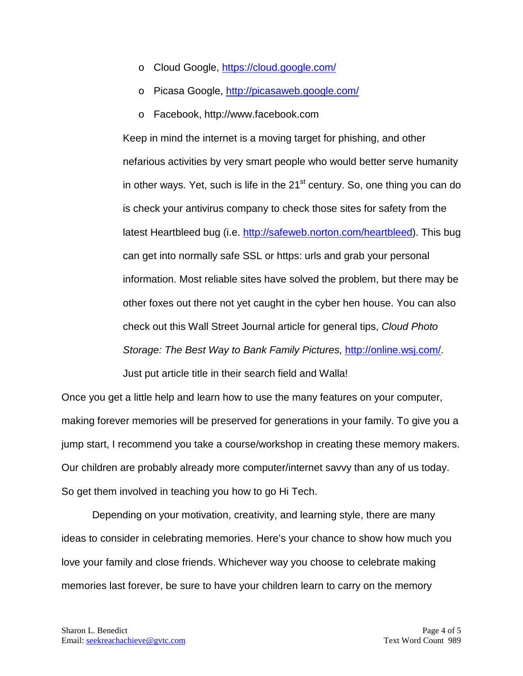- o Cloud Google,<https://cloud.google.com/>
- o Picasa Google,<http://picasaweb.google.com/>
- o Facebook, http://www.facebook.com

Keep in mind the internet is a moving target for phishing, and other nefarious activities by very smart people who would better serve humanity in other ways. Yet, such is life in the  $21<sup>st</sup>$  century. So, one thing you can do is check your antivirus company to check those sites for safety from the latest Heartbleed bug (i.e. [http://safeweb.norton.com/heartbleed\)](http://safeweb.norton.com/heartbleed). This bug can get into normally safe SSL or https: urls and grab your personal information. Most reliable sites have solved the problem, but there may be other foxes out there not yet caught in the cyber hen house. You can also check out this Wall Street Journal article for general tips, *Cloud Photo Storage: The Best Way to Bank Family Pictures,* [http://online.wsj.com/.](http://online.wsj.com/) Just put article title in their search field and Walla!

Once you get a little help and learn how to use the many features on your computer, making forever memories will be preserved for generations in your family. To give you a jump start, I recommend you take a course/workshop in creating these memory makers. Our children are probably already more computer/internet savvy than any of us today. So get them involved in teaching you how to go Hi Tech.

Depending on your motivation, creativity, and learning style, there are many ideas to consider in celebrating memories. Here's your chance to show how much you love your family and close friends. Whichever way you choose to celebrate making memories last forever, be sure to have your children learn to carry on the memory